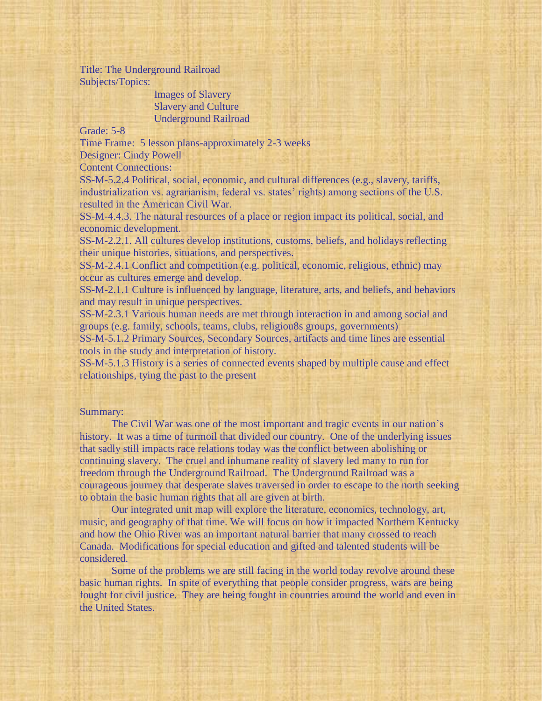Title: The Underground Railroad Subjects/Topics:

> Images of Slavery Slavery and Culture Underground Railroad

Grade: 5-8

Time Frame: 5 lesson plans-approximately 2-3 weeks

Designer: Cindy Powell Content Connections:

SS-M-5.2.4 Political, social, economic, and cultural differences (e.g., slavery, tariffs, industrialization vs. agrarianism, federal vs. states' rights) among sections of the U.S. resulted in the American Civil War.

SS-M-4.4.3. The natural resources of a place or region impact its political, social, and economic development.

SS-M-2.2.1. All cultures develop institutions, customs, beliefs, and holidays reflecting their unique histories, situations, and perspectives.

SS-M-2.4.1 Conflict and competition (e.g. political, economic, religious, ethnic) may occur as cultures emerge and develop.

SS-M-2.1.1 Culture is influenced by language, literature, arts, and beliefs, and behaviors and may result in unique perspectives.

SS-M-2.3.1 Various human needs are met through interaction in and among social and groups (e.g. family, schools, teams, clubs, religiou8s groups, governments)

SS-M-5.1.2 Primary Sources, Secondary Sources, artifacts and time lines are essential tools in the study and interpretation of history.

SS-M-5.1.3 History is a series of connected events shaped by multiple cause and effect relationships, tying the past to the present

#### Summary:

The Civil War was one of the most important and tragic events in our nation's history. It was a time of turmoil that divided our country. One of the underlying issues that sadly still impacts race relations today was the conflict between abolishing or continuing slavery. The cruel and inhumane reality of slavery led many to run for freedom through the Underground Railroad. The Underground Railroad was a courageous journey that desperate slaves traversed in order to escape to the north seeking to obtain the basic human rights that all are given at birth.

Our integrated unit map will explore the literature, economics, technology, art, music, and geography of that time. We will focus on how it impacted Northern Kentucky and how the Ohio River was an important natural barrier that many crossed to reach Canada. Modifications for special education and gifted and talented students will be considered.

Some of the problems we are still facing in the world today revolve around these basic human rights. In spite of everything that people consider progress, wars are being fought for civil justice. They are being fought in countries around the world and even in the United States.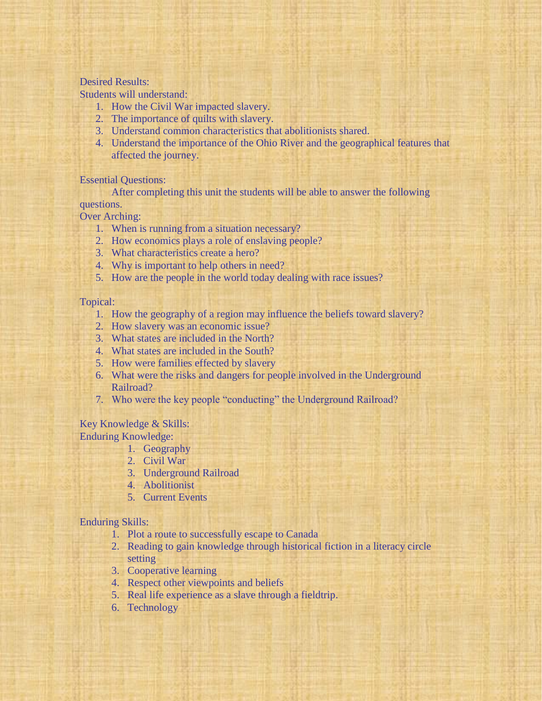### Desired Results:

Students will understand:

- 1. How the Civil War impacted slavery.
- 2. The importance of quilts with slavery.
- 3. Understand common characteristics that abolitionists shared.
- 4. Understand the importance of the Ohio River and the geographical features that affected the journey.

Essential Questions:

After completing this unit the students will be able to answer the following

questions.

Over Arching:

- 1. When is running from a situation necessary?
- 2. How economics plays a role of enslaving people?
- 3. What characteristics create a hero?
- 4. Why is important to help others in need?
- 5. How are the people in the world today dealing with race issues?

Topical:

- 1. How the geography of a region may influence the beliefs toward slavery?
- 2. How slavery was an economic issue?
- 3. What states are included in the North?
- 4. What states are included in the South?
- 5. How were families effected by slavery
- 6. What were the risks and dangers for people involved in the Underground Railroad?
- 7. Who were the key people "conducting" the Underground Railroad?

Key Knowledge & Skills: Enduring Knowledge:

- 1. Geography
- 2. Civil War
- 3. Underground Railroad
- 4. Abolitionist
- 5. Current Events

Enduring Skills:

- 1. Plot a route to successfully escape to Canada
- 2. Reading to gain knowledge through historical fiction in a literacy circle setting
- 3. Cooperative learning
- 4. Respect other viewpoints and beliefs
- 5. Real life experience as a slave through a fieldtrip.
- 6. Technology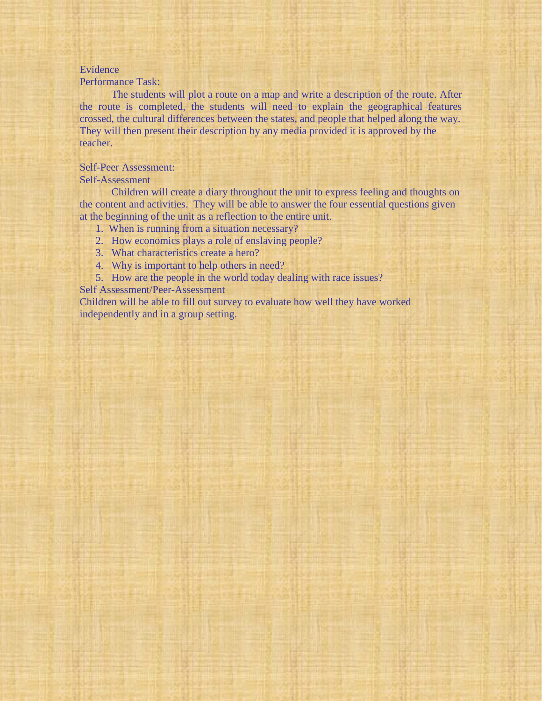## Evidence

#### Performance Task:

The students will plot a route on a map and write a description of the route. After the route is completed, the students will need to explain the geographical features crossed, the cultural differences between the states, and people that helped along the way. They will then present their description by any media provided it is approved by the teacher.

#### Self-Peer Assessment:

#### Self-Assessment

Children will create a diary throughout the unit to express feeling and thoughts on the content and activities. They will be able to answer the four essential questions given at the beginning of the unit as a reflection to the entire unit.

- 1. When is running from a situation necessary?
- 2. How economics plays a role of enslaving people?
- 3. What characteristics create a hero?
- 4. Why is important to help others in need?
- 5. How are the people in the world today dealing with race issues?

Self Assessment/Peer-Assessment

Children will be able to fill out survey to evaluate how well they have worked independently and in a group setting.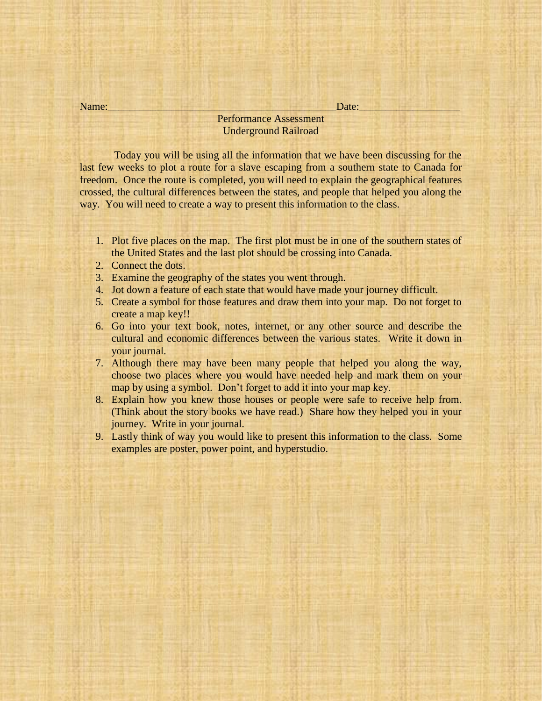| Name: | Date:                         |  |  |
|-------|-------------------------------|--|--|
|       | <b>Performance Assessment</b> |  |  |
|       | <b>Underground Railroad</b>   |  |  |
|       |                               |  |  |

Today you will be using all the information that we have been discussing for the last few weeks to plot a route for a slave escaping from a southern state to Canada for freedom. Once the route is completed, you will need to explain the geographical features crossed, the cultural differences between the states, and people that helped you along the way. You will need to create a way to present this information to the class.

- 1. Plot five places on the map. The first plot must be in one of the southern states of the United States and the last plot should be crossing into Canada.
- 2. Connect the dots.
- 3. Examine the geography of the states you went through.
- 4. Jot down a feature of each state that would have made your journey difficult.
- 5. Create a symbol for those features and draw them into your map. Do not forget to create a map key!!
- 6. Go into your text book, notes, internet, or any other source and describe the cultural and economic differences between the various states. Write it down in your journal.
- 7. Although there may have been many people that helped you along the way, choose two places where you would have needed help and mark them on your map by using a symbol. Don't forget to add it into your map key.
- 8. Explain how you knew those houses or people were safe to receive help from. (Think about the story books we have read.) Share how they helped you in your journey. Write in your journal.
- 9. Lastly think of way you would like to present this information to the class. Some examples are poster, power point, and hyperstudio.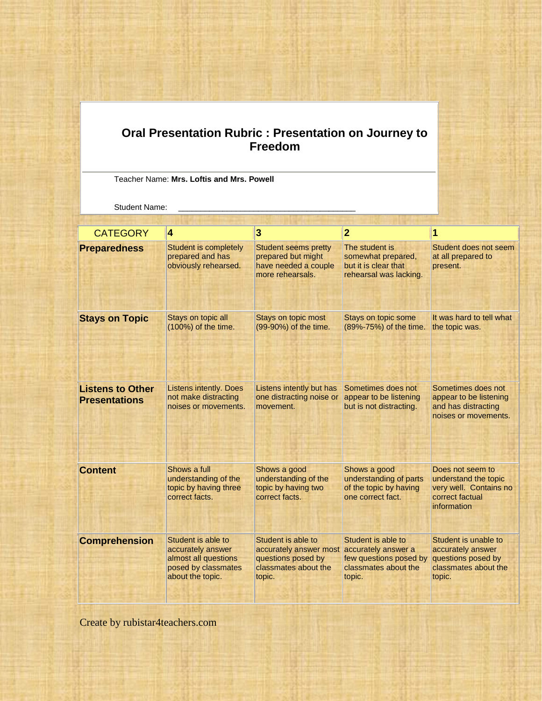# **Oral Presentation Rubric : Presentation on Journey to Freedom**

Teacher Name: **Mrs. Loftis and Mrs. Powell**

#### Student Name:

| <b>CATEGORY</b>                                 | 4                                                                                                          | 3                                                                                                                        | $\overline{2}$                                                                         | 1                                                                                                    |
|-------------------------------------------------|------------------------------------------------------------------------------------------------------------|--------------------------------------------------------------------------------------------------------------------------|----------------------------------------------------------------------------------------|------------------------------------------------------------------------------------------------------|
| <b>Preparedness</b>                             | <b>Student is completely</b><br>prepared and has<br>obviously rehearsed.                                   | <b>Student seems pretty</b><br>prepared but might<br>have needed a couple<br>more rehearsals.                            | The student is<br>somewhat prepared,<br>but it is clear that<br>rehearsal was lacking. | Student does not seem<br>at all prepared to<br>present.                                              |
| <b>Stays on Topic</b>                           | Stays on topic all<br>(100%) of the time.                                                                  | <b>Stays on topic most</b><br>(99-90%) of the time.                                                                      | <b>Stays on topic some</b><br>(89%-75%) of the time.                                   | It was hard to tell what<br>the topic was.                                                           |
| <b>Listens to Other</b><br><b>Presentations</b> | <b>Listens intently. Does</b><br>not make distracting<br>noises or movements.                              | Listens intently but has<br>one distracting noise or<br>movement.                                                        | Sometimes does not<br>appear to be listening<br>but is not distracting.                | Sometimes does not<br>appear to be listening<br>and has distracting<br>noises or movements.          |
| <b>Content</b>                                  | Shows a full<br>understanding of the<br>topic by having three<br>correct facts.                            | Shows a good<br>understanding of the<br>topic by having two<br>correct facts.                                            | Shows a good<br>understanding of parts<br>of the topic by having<br>one correct fact.  | Does not seem to<br>understand the topic<br>very well. Contains no<br>correct factual<br>information |
| <b>Comprehension</b>                            | Student is able to<br>accurately answer<br>almost all questions<br>posed by classmates<br>about the topic. | Student is able to<br>accurately answer most accurately answer a<br>questions posed by<br>classmates about the<br>topic. | Student is able to<br>few questions posed by<br>classmates about the<br>topic.         | Student is unable to<br>accurately answer<br>questions posed by<br>classmates about the<br>topic.    |

Create by rubistar4teachers.com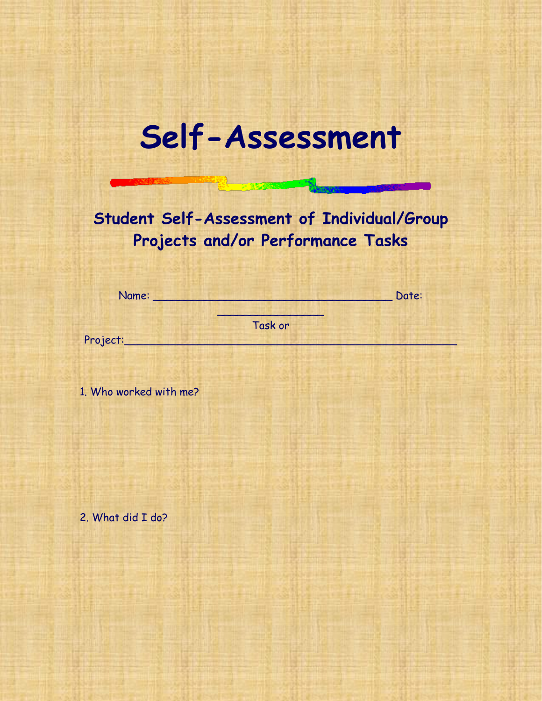

**Student Self-Assessment of Individual/Group Projects and/or Performance Tasks**

| Name:    |         | Date: |
|----------|---------|-------|
|          | Task or |       |
| Project: |         |       |

1. Who worked with me?

2. What did I do?